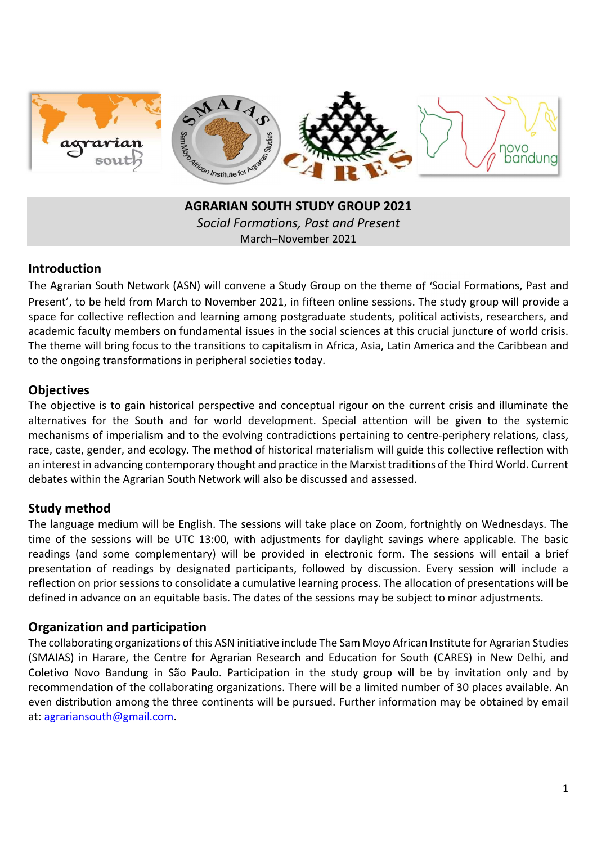

Social Formations, Past and Present March–November 2021

# Introduction

The Agrarian South Network (ASN) will convene a Study Group on the theme of 'Social Formations, Past and Present', to be held from March to November 2021, in fifteen online sessions. The study group will provide a space for collective reflection and learning among postgraduate students, political activists, researchers, and academic faculty members on fundamental issues in the social sciences at this crucial juncture of world crisis. The theme will bring focus to the transitions to capitalism in Africa, Asia, Latin America and the Caribbean and to the ongoing transformations in peripheral societies today.

### **Objectives**

The objective is to gain historical perspective and conceptual rigour on the current crisis and illuminate the alternatives for the South and for world development. Special attention will be given to the systemic mechanisms of imperialism and to the evolving contradictions pertaining to centre-periphery relations, class, race, caste, gender, and ecology. The method of historical materialism will guide this collective reflection with an interest in advancing contemporary thought and practice in the Marxist traditions of the Third World. Current debates within the Agrarian South Network will also be discussed and assessed.

# Study method

The language medium will be English. The sessions will take place on Zoom, fortnightly on Wednesdays. The time of the sessions will be UTC 13:00, with adjustments for daylight savings where applicable. The basic readings (and some complementary) will be provided in electronic form. The sessions will entail a brief presentation of readings by designated participants, followed by discussion. Every session will include a reflection on prior sessions to consolidate a cumulative learning process. The allocation of presentations will be defined in advance on an equitable basis. The dates of the sessions may be subject to minor adjustments.

# Organization and participation

The collaborating organizations of this ASN initiative include The Sam Moyo African Institute for Agrarian Studies (SMAIAS) in Harare, the Centre for Agrarian Research and Education for South (CARES) in New Delhi, and Coletivo Novo Bandung in São Paulo. Participation in the study group will be by invitation only and by recommendation of the collaborating organizations. There will be a limited number of 30 places available. An even distribution among the three continents will be pursued. Further information may be obtained by email at: agrariansouth@gmail.com.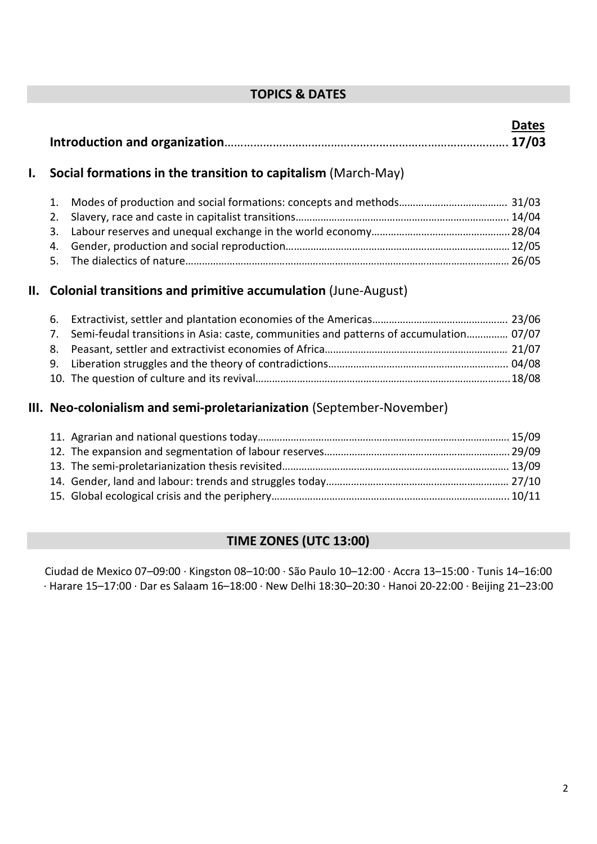# TOPICS & DATES

| <b>Dates</b> |
|--------------|
|              |

# I. Social formations in the transition to capitalism (March-May)

# II. Colonial transitions and primitive accumulation (June-August)

| 7. Semi-feudal transitions in Asia: caste, communities and patterns of accumulation 07/07 |  |
|-------------------------------------------------------------------------------------------|--|
|                                                                                           |  |
|                                                                                           |  |
|                                                                                           |  |

# III. Neo-colonialism and semi-proletarianization (September-November)

# TIME ZONES (UTC 13:00)

Ciudad de Mexico 07–09:00 ∙ Kingston 08–10:00 ∙ São Paulo 10–12:00 ∙ Accra 13–15:00 ∙ Tunis 14–16:00 ∙ Harare 15–17:00 ∙ Dar es Salaam 16–18:00 ∙ New Delhi 18:30–20:30 ∙ Hanoi 20-22:00 ∙ Beijing 21–23:00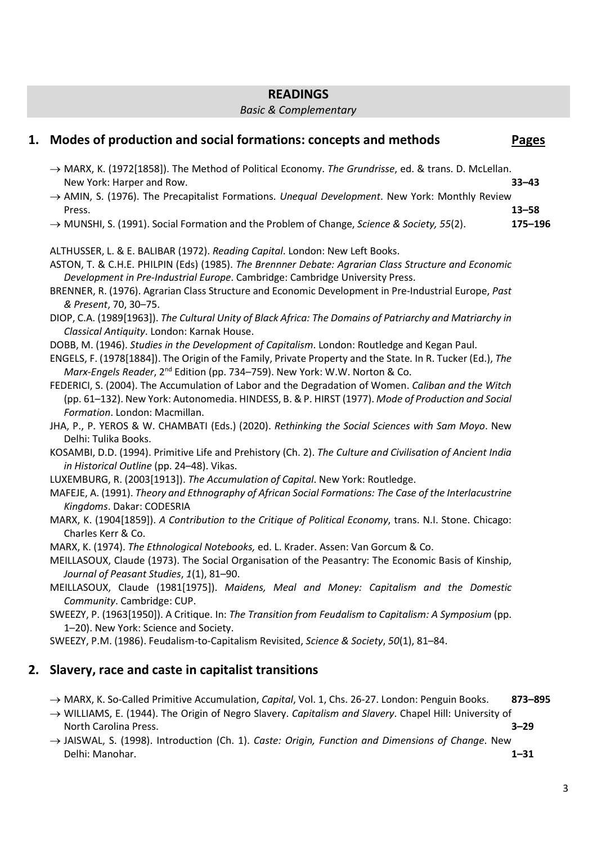#### READINGS

#### Basic & Complementary

### 1. Modes of production and social formations: concepts and methods Pages

- $\rightarrow$  MARX, K. (1972[1858]). The Method of Political Economy. The Grundrisse, ed. & trans. D. McLellan. New York: Harper and Row. 33–43  $\rightarrow$  AMIN, S. (1976). The Precapitalist Formations. Unequal Development. New York: Monthly Review Press. **13–58**  $\rightarrow$  MUNSHI, S. (1991). Social Formation and the Problem of Change, Science & Society, 55(2). 175–196
- ALTHUSSER, L. & E. BALIBAR (1972). Reading Capital. London: New Left Books.

ASTON, T. & C.H.E. PHILPIN (Eds) (1985). The Brennner Debate: Agrarian Class Structure and Economic Development in Pre-Industrial Europe. Cambridge: Cambridge University Press.

- BRENNER, R. (1976). Agrarian Class Structure and Economic Development in Pre-Industrial Europe, Past & Present, 70, 30–75.
- DIOP, C.A. (1989[1963]). The Cultural Unity of Black Africa: The Domains of Patriarchy and Matriarchy in Classical Antiquity. London: Karnak House.
- DOBB, M. (1946). Studies in the Development of Capitalism. London: Routledge and Kegan Paul.
- ENGELS, F. (1978[1884]). The Origin of the Family, Private Property and the State. In R. Tucker (Ed.), The Marx-Engels Reader, 2<sup>nd</sup> Edition (pp. 734–759). New York: W.W. Norton & Co.
- FEDERICI, S. (2004). The Accumulation of Labor and the Degradation of Women. Caliban and the Witch (pp. 61–132). New York: Autonomedia. HINDESS, B. & P. HIRST (1977). Mode of Production and Social Formation. London: Macmillan.
- JHA, P., P. YEROS & W. CHAMBATI (Eds.) (2020). Rethinking the Social Sciences with Sam Moyo. New Delhi: Tulika Books.
- KOSAMBI, D.D. (1994). Primitive Life and Prehistory (Ch. 2). The Culture and Civilisation of Ancient India in Historical Outline (pp. 24–48). Vikas.
- LUXEMBURG, R. (2003[1913]). The Accumulation of Capital. New York: Routledge.
- MAFEJE, A. (1991). Theory and Ethnography of African Social Formations: The Case of the Interlacustrine Kingdoms. Dakar: CODESRIA
- MARX, K. (1904[1859]). A Contribution to the Critique of Political Economy, trans. N.I. Stone. Chicago: Charles Kerr & Co.
- MARX, K. (1974). The Ethnological Notebooks, ed. L. Krader. Assen: Van Gorcum & Co.
- MEILLASOUX, Claude (1973). The Social Organisation of the Peasantry: The Economic Basis of Kinship, Journal of Peasant Studies, 1(1), 81–90.
- MEILLASOUX, Claude (1981[1975]). Maidens, Meal and Money: Capitalism and the Domestic Community. Cambridge: CUP.
- SWEEZY, P. (1963[1950]). A Critique. In: The Transition from Feudalism to Capitalism: A Symposium (pp. 1–20). New York: Science and Society.

SWEEZY, P.M. (1986). Feudalism-to-Capitalism Revisited, Science & Society, 50(1), 81–84.

# 2. Slavery, race and caste in capitalist transitions

 $\rightarrow$  MARX, K. So-Called Primitive Accumulation, Capital, Vol. 1, Chs. 26-27. London: Penguin Books. 873–895

- $\rightarrow$  WILLIAMS, E. (1944). The Origin of Negro Slavery. Capitalism and Slavery. Chapel Hill: University of North Carolina Press. 3–29
- $\rightarrow$  JAISWAL, S. (1998). Introduction (Ch. 1). Caste: Origin, Function and Dimensions of Change. New Delhi: Manohar. 1–31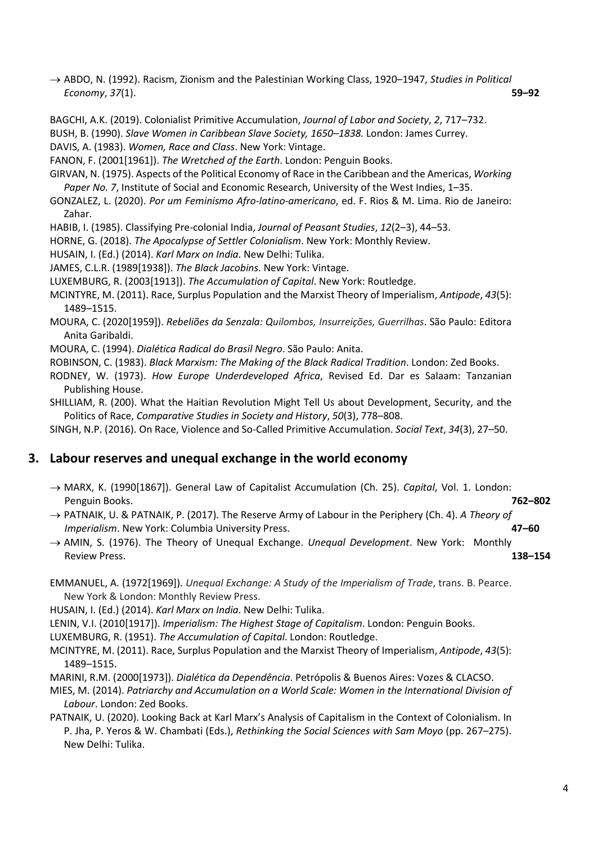- $\rightarrow$  ABDO, N. (1992). Racism, Zionism and the Palestinian Working Class, 1920–1947, Studies in Political Economy, 37(1). 59–92
- BAGCHI, A.K. (2019). Colonialist Primitive Accumulation, Journal of Labor and Society, 2, 717–732.

BUSH, B. (1990). Slave Women in Caribbean Slave Society, 1650–1838. London: James Currey.

DAVIS, A. (1983). Women, Race and Class. New York: Vintage.

FANON, F. (2001[1961]). The Wretched of the Earth. London: Penguin Books.

GIRVAN, N. (1975). Aspects of the Political Economy of Race in the Caribbean and the Americas, Working Paper No. 7, Institute of Social and Economic Research, University of the West Indies, 1–35.

GONZALEZ, L. (2020). Por um Feminismo Afro-latino-americano, ed. F. Rios & M. Lima. Rio de Janeiro: Zahar.

HABIB, I. (1985). Classifying Pre-colonial India, Journal of Peasant Studies, 12(2–3), 44–53.

HORNE, G. (2018). The Apocalypse of Settler Colonialism. New York: Monthly Review.

HUSAIN, I. (Ed.) (2014). Karl Marx on India. New Delhi: Tulika.

JAMES, C.L.R. (1989[1938]). The Black Jacobins. New York: Vintage.

LUXEMBURG, R. (2003[1913]). The Accumulation of Capital. New York: Routledge.

MCINTYRE, M. (2011). Race, Surplus Population and the Marxist Theory of Imperialism, Antipode, 43(5): 1489–1515.

MOURA, C. (2020[1959]). Rebeliões da Senzala: Quilombos, Insurreições, Guerrilhas. São Paulo: Editora Anita Garibaldi.

MOURA, C. (1994). Dialética Radical do Brasil Negro. São Paulo: Anita.

ROBINSON, C. (1983). Black Marxism: The Making of the Black Radical Tradition. London: Zed Books.

RODNEY, W. (1973). How Europe Underdeveloped Africa, Revised Ed. Dar es Salaam: Tanzanian Publishing House.

SHILLIAM, R. (200). What the Haitian Revolution Might Tell Us about Development, Security, and the Politics of Race, Comparative Studies in Society and History, 50(3), 778–808.

SINGH, N.P. (2016). On Race, Violence and So-Called Primitive Accumulation. Social Text, 34(3), 27–50.

#### 3. Labour reserves and unequal exchange in the world economy

- → MARX, K. (1990[1867]). General Law of Capitalist Accumulation (Ch. 25). Capital, Vol. 1. London: Penguin Books. 762–802
- $\rightarrow$  PATNAIK, U. & PATNAIK, P. (2017). The Reserve Army of Labour in the Periphery (Ch. 4). A Theory of Imperialism. New York: Columbia University Press. 47–60
- $\rightarrow$  AMIN, S. (1976). The Theory of Unequal Exchange. Unequal Development. New York: Monthly Review Press. 238–154

EMMANUEL, A. (1972[1969]). Unequal Exchange: A Study of the Imperialism of Trade, trans. B. Pearce. New York & London: Monthly Review Press.

HUSAIN, I. (Ed.) (2014). Karl Marx on India. New Delhi: Tulika.

LENIN, V.I. (2010[1917]). Imperialism: The Highest Stage of Capitalism. London: Penguin Books.

LUXEMBURG, R. (1951). The Accumulation of Capital. London: Routledge.

MCINTYRE, M. (2011). Race, Surplus Population and the Marxist Theory of Imperialism, Antipode, 43(5): 1489–1515.

MARINI, R.M. (2000[1973]). Dialética da Dependência. Petrópolis & Buenos Aires: Vozes & CLACSO.

MIES, M. (2014). Patriarchy and Accumulation on a World Scale: Women in the International Division of Labour. London: Zed Books.

PATNAIK, U. (2020). Looking Back at Karl Marx's Analysis of Capitalism in the Context of Colonialism. In P. Jha, P. Yeros & W. Chambati (Eds.), Rethinking the Social Sciences with Sam Moyo (pp. 267–275). New Delhi: Tulika.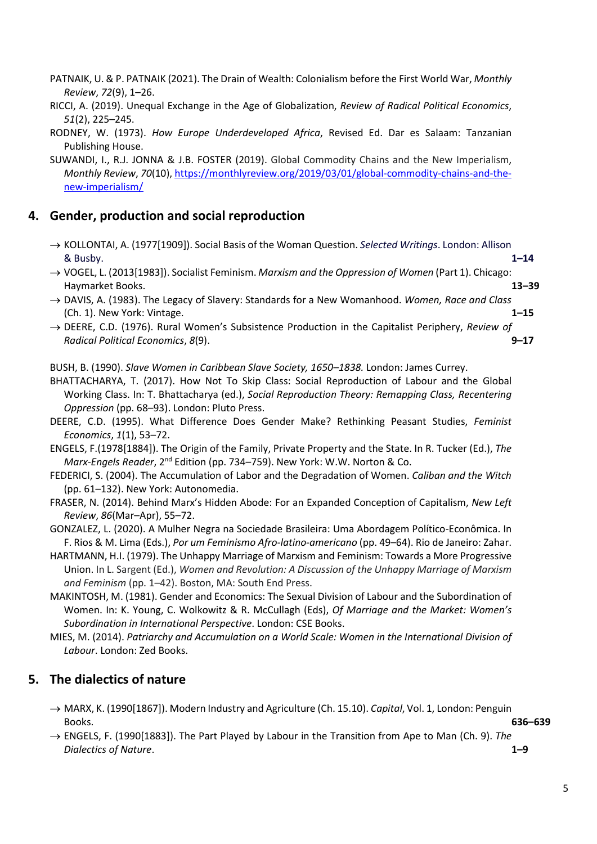- PATNAIK, U. & P. PATNAIK (2021). The Drain of Wealth: Colonialism before the First World War, Monthly Review, 72(9), 1–26.
- RICCI, A. (2019). Unequal Exchange in the Age of Globalization, Review of Radical Political Economics, 51(2), 225–245.
- RODNEY, W. (1973). How Europe Underdeveloped Africa, Revised Ed. Dar es Salaam: Tanzanian Publishing House.
- SUWANDI, I., R.J. JONNA & J.B. FOSTER (2019). Global Commodity Chains and the New Imperialism, Monthly Review, 70(10), https://monthlyreview.org/2019/03/01/global-commodity-chains-and-thenew-imperialism/

### 4. Gender, production and social reproduction

- $\rightarrow$  KOLLONTAI, A. (1977[1909]). Social Basis of the Woman Question. Selected Writings. London: Allison & Busby. 1–14
- $\rightarrow$  VOGEL, L. (2013[1983]). Socialist Feminism. Marxism and the Oppression of Women (Part 1). Chicago: Haymarket Books. 13–39
- $\rightarrow$  DAVIS, A. (1983). The Legacy of Slavery: Standards for a New Womanhood. Women, Race and Class (Ch. 1). New York: Vintage. 1–15
- $\rightarrow$  DEERE, C.D. (1976). Rural Women's Subsistence Production in the Capitalist Periphery, Review of Radical Political Economics, 8(9). 9–17

BUSH, B. (1990). Slave Women in Caribbean Slave Society, 1650–1838. London: James Currey.

- BHATTACHARYA, T. (2017). How Not To Skip Class: Social Reproduction of Labour and the Global Working Class. In: T. Bhattacharya (ed.), Social Reproduction Theory: Remapping Class, Recentering Oppression (pp. 68–93). London: Pluto Press.
- DEERE, C.D. (1995). What Difference Does Gender Make? Rethinking Peasant Studies, Feminist Economics, 1(1), 53–72.
- ENGELS, F.(1978[1884]). The Origin of the Family, Private Property and the State. In R. Tucker (Ed.), The Marx-Engels Reader, 2<sup>nd</sup> Edition (pp. 734–759). New York: W.W. Norton & Co.
- FEDERICI, S. (2004). The Accumulation of Labor and the Degradation of Women. Caliban and the Witch (pp. 61–132). New York: Autonomedia.
- FRASER, N. (2014). Behind Marx's Hidden Abode: For an Expanded Conception of Capitalism, New Left Review, 86(Mar–Apr), 55–72.
- GONZALEZ, L. (2020). A Mulher Negra na Sociedade Brasileira: Uma Abordagem Político-Econômica. In F. Rios & M. Lima (Eds.), Por um Feminismo Afro-latino-americano (pp. 49–64). Rio de Janeiro: Zahar.
- HARTMANN, H.I. (1979). The Unhappy Marriage of Marxism and Feminism: Towards a More Progressive Union. In L. Sargent (Ed.), Women and Revolution: A Discussion of the Unhappy Marriage of Marxism and Feminism (pp. 1–42). Boston, MA: South End Press.
- MAKINTOSH, M. (1981). Gender and Economics: The Sexual Division of Labour and the Subordination of Women. In: K. Young, C. Wolkowitz & R. McCullagh (Eds), Of Marriage and the Market: Women's Subordination in International Perspective. London: CSE Books.
- MIES, M. (2014). Patriarchy and Accumulation on a World Scale: Women in the International Division of Labour. London: Zed Books.

# 5. The dialectics of nature

- $\rightarrow$  MARX, K. (1990[1867]). Modern Industry and Agriculture (Ch. 15.10). Capital, Vol. 1, London: Penguin Books. 636–639
- $\rightarrow$  ENGELS, F. (1990[1883]). The Part Played by Labour in the Transition from Ape to Man (Ch. 9). The Dialectics of Nature. 1–9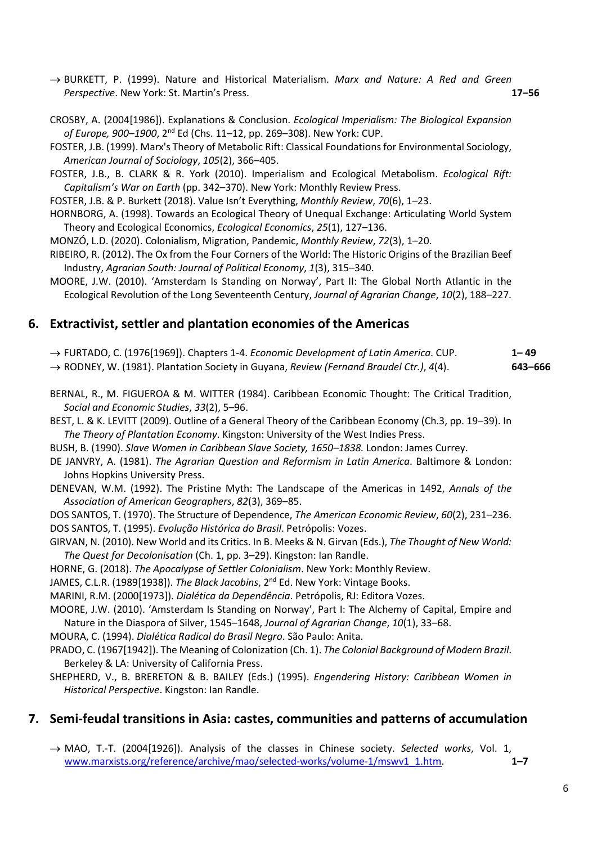$\rightarrow$  BURKETT, P. (1999). Nature and Historical Materialism. Marx and Nature: A Red and Green Perspective. New York: St. Martin's Press. 17–56

- CROSBY, A. (2004[1986]). Explanations & Conclusion. Ecological Imperialism: The Biological Expansion of Europe, 900–1900, 2nd Ed (Chs. 11–12, pp. 269–308). New York: CUP.
- FOSTER, J.B. (1999). Marx's Theory of Metabolic Rift: Classical Foundations for Environmental Sociology, American Journal of Sociology, 105(2), 366–405.

FOSTER, J.B., B. CLARK & R. York (2010). Imperialism and Ecological Metabolism. Ecological Rift: Capitalism's War on Earth (pp. 342–370). New York: Monthly Review Press.

FOSTER, J.B. & P. Burkett (2018). Value Isn't Everything, Monthly Review, 70(6), 1–23.

HORNBORG, A. (1998). Towards an Ecological Theory of Unequal Exchange: Articulating World System Theory and Ecological Economics, Ecological Economics, 25(1), 127–136.

MONZÓ, L.D. (2020). Colonialism, Migration, Pandemic, Monthly Review, 72(3), 1–20.

- RIBEIRO, R. (2012). The Ox from the Four Corners of the World: The Historic Origins of the Brazilian Beef Industry, Agrarian South: Journal of Political Economy, 1(3), 315–340.
- MOORE, J.W. (2010). 'Amsterdam Is Standing on Norway', Part II: The Global North Atlantic in the Ecological Revolution of the Long Seventeenth Century, Journal of Agrarian Change, 10(2), 188–227.

### 6. Extractivist, settler and plantation economies of the Americas

| $\rightarrow$ FURTADO, C. (1976[1969]). Chapters 1-4. <i>Economic Development of Latin America</i> . CUP. | 1–49    |
|-----------------------------------------------------------------------------------------------------------|---------|
| $\rightarrow$ RODNEY, W. (1981). Plantation Society in Guyana, Review (Fernand Braudel Ctr.), 4(4).       | 643-666 |

BERNAL, R., M. FIGUEROA & M. WITTER (1984). Caribbean Economic Thought: The Critical Tradition, Social and Economic Studies, 33(2), 5–96.

BEST, L. & K. LEVITT (2009). Outline of a General Theory of the Caribbean Economy (Ch.3, pp. 19–39). In The Theory of Plantation Economy. Kingston: University of the West Indies Press.

BUSH, B. (1990). Slave Women in Caribbean Slave Society, 1650–1838. London: James Currey.

DE JANVRY, A. (1981). The Agrarian Question and Reformism in Latin America. Baltimore & London: Johns Hopkins University Press.

DENEVAN, W.M. (1992). The Pristine Myth: The Landscape of the Americas in 1492, Annals of the Association of American Geographers, 82(3), 369–85.

DOS SANTOS, T. (1970). The Structure of Dependence, The American Economic Review, 60(2), 231–236. DOS SANTOS, T. (1995). Evolução Histórica do Brasil. Petrópolis: Vozes.

- GIRVAN, N. (2010). New World and its Critics. In B. Meeks & N. Girvan (Eds.), The Thought of New World: The Quest for Decolonisation (Ch. 1, pp. 3–29). Kingston: Ian Randle.
- HORNE, G. (2018). The Apocalypse of Settler Colonialism. New York: Monthly Review.

JAMES, C.L.R. (1989[1938]). The Black Jacobins, 2<sup>nd</sup> Ed. New York: Vintage Books.

MARINI, R.M. (2000[1973]). Dialética da Dependência. Petrópolis, RJ: Editora Vozes.

MOORE, J.W. (2010). 'Amsterdam Is Standing on Norway', Part I: The Alchemy of Capital, Empire and Nature in the Diaspora of Silver, 1545–1648, Journal of Agrarian Change, 10(1), 33–68.

MOURA, C. (1994). Dialética Radical do Brasil Negro. São Paulo: Anita.

PRADO, C. (1967[1942]). The Meaning of Colonization (Ch. 1). The Colonial Background of Modern Brazil. Berkeley & LA: University of California Press.

SHEPHERD, V., B. BRERETON & B. BAILEY (Eds.) (1995). Engendering History: Caribbean Women in Historical Perspective. Kingston: Ian Randle.

#### 7. Semi-feudal transitions in Asia: castes, communities and patterns of accumulation

 $\rightarrow$  MAO, T.-T. (2004[1926]). Analysis of the classes in Chinese society. Selected works, Vol. 1, www.marxists.org/reference/archive/mao/selected-works/volume-1/mswv1\_1.htm. 1–7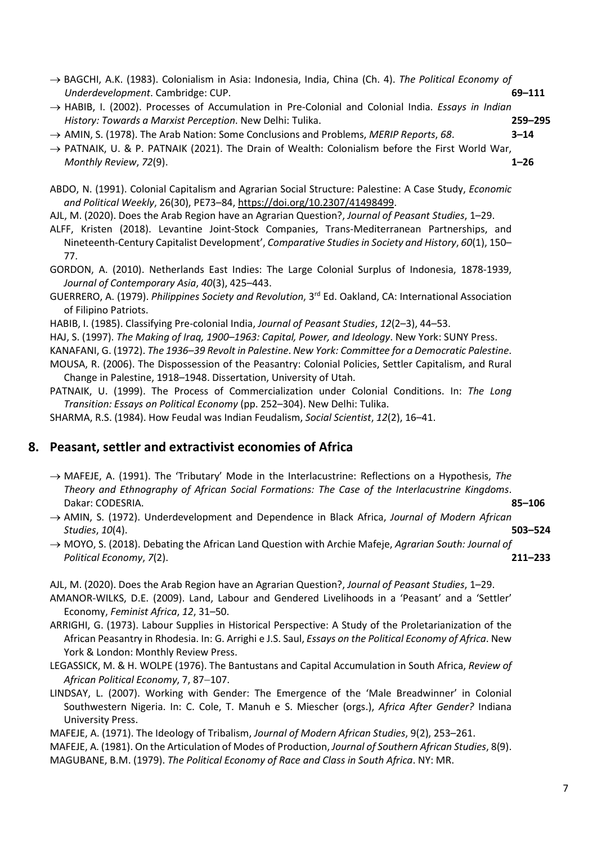- $\rightarrow$  BAGCHI, A.K. (1983). Colonialism in Asia: Indonesia, India, China (Ch. 4). The Political Economy of Underdevelopment. Cambridge: CUP. 69-111
- $\rightarrow$  HABIB, I. (2002). Processes of Accumulation in Pre-Colonial and Colonial India. Essays in Indian History: Towards a Marxist Perception. New Delhi: Tulika. 259–295
- $\rightarrow$  AMIN, S. (1978). The Arab Nation: Some Conclusions and Problems, *MERIP Reports*, 68.  $\rightarrow$  3–14
- $\rightarrow$  PATNAIK, U. & P. PATNAIK (2021). The Drain of Wealth: Colonialism before the First World War, Monthly Review, 72(9). 1–26
- ABDO, N. (1991). Colonial Capitalism and Agrarian Social Structure: Palestine: A Case Study, Economic and Political Weekly, 26(30), PE73–84, https://doi.org/10.2307/41498499.
- AJL, M. (2020). Does the Arab Region have an Agrarian Question?, Journal of Peasant Studies, 1–29.
- ALFF, Kristen (2018). Levantine Joint-Stock Companies, Trans-Mediterranean Partnerships, and Nineteenth-Century Capitalist Development', Comparative Studies in Society and History, 60(1), 150– 77.
- GORDON, A. (2010). Netherlands East Indies: The Large Colonial Surplus of Indonesia, 1878-1939, Journal of Contemporary Asia, 40(3), 425–443.
- GUERRERO, A. (1979). Philippines Society and Revolution, 3<sup>rd</sup> Ed. Oakland, CA: International Association of Filipino Patriots.
- HABIB, I. (1985). Classifying Pre-colonial India, Journal of Peasant Studies, 12(2–3), 44–53.
- HAJ, S. (1997). The Making of Iraq, 1900–1963: Capital, Power, and Ideology. New York: SUNY Press.
- KANAFANI, G. (1972). The 1936–39 Revolt in Palestine. New York: Committee for a Democratic Palestine.

MOUSA, R. (2006). The Dispossession of the Peasantry: Colonial Policies, Settler Capitalism, and Rural Change in Palestine, 1918–1948. Dissertation, University of Utah.

PATNAIK, U. (1999). The Process of Commercialization under Colonial Conditions. In: The Long Transition: Essays on Political Economy (pp. 252–304). New Delhi: Tulika.

SHARMA, R.S. (1984). How Feudal was Indian Feudalism, Social Scientist, 12(2), 16–41.

#### 8. Peasant, settler and extractivist economies of Africa

- $\rightarrow$  MAFEJE, A. (1991). The 'Tributary' Mode in the Interlacustrine: Reflections on a Hypothesis, The Theory and Ethnography of African Social Formations: The Case of the Interlacustrine Kingdoms. Dakar: CODESRIA. 85–106
- $\rightarrow$  AMIN, S. (1972). Underdevelopment and Dependence in Black Africa, Journal of Modern African Studies, 10(4). 503–524
- $\rightarrow$  MOYO, S. (2018). Debating the African Land Question with Archie Mafeje, Agrarian South: Journal of Political Economy, 7(2). 211–233

AJL, M. (2020). Does the Arab Region have an Agrarian Question?, Journal of Peasant Studies, 1–29.

- AMANOR-WILKS, D.E. (2009). Land, Labour and Gendered Livelihoods in a 'Peasant' and a 'Settler' Economy, Feminist Africa, 12, 31–50.
- ARRIGHI, G. (1973). Labour Supplies in Historical Perspective: A Study of the Proletarianization of the African Peasantry in Rhodesia. In: G. Arrighi e J.S. Saul, Essays on the Political Economy of Africa. New York & London: Monthly Review Press.
- LEGASSICK, M. & H. WOLPE (1976). The Bantustans and Capital Accumulation in South Africa, Review of African Political Economy, 7, 87-107.
- LINDSAY, L. (2007). Working with Gender: The Emergence of the 'Male Breadwinner' in Colonial Southwestern Nigeria. In: C. Cole, T. Manuh e S. Miescher (orgs.), Africa After Gender? Indiana University Press.

MAFEJE, A. (1971). The Ideology of Tribalism, Journal of Modern African Studies, 9(2), 253–261.

MAFEJE, A. (1981). On the Articulation of Modes of Production, Journal of Southern African Studies, 8(9).

MAGUBANE, B.M. (1979). The Political Economy of Race and Class in South Africa. NY: MR.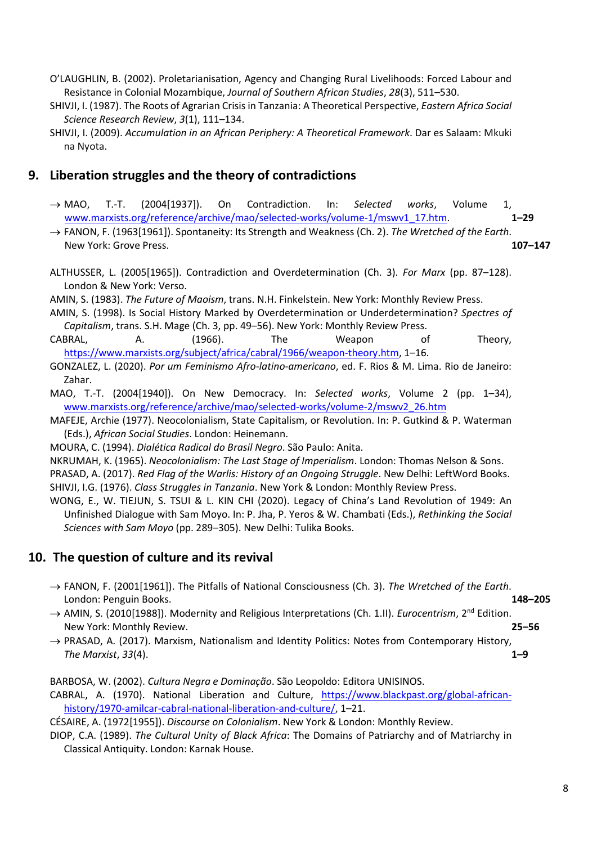- O'LAUGHLIN, B. (2002). Proletarianisation, Agency and Changing Rural Livelihoods: Forced Labour and Resistance in Colonial Mozambique, Journal of Southern African Studies, 28(3), 511–530.
- SHIVJI, I. (1987). The Roots of Agrarian Crisis in Tanzania: A Theoretical Perspective, Eastern Africa Social Science Research Review, 3(1), 111–134.
- SHIVJI, I. (2009). Accumulation in an African Periphery: A Theoretical Framework. Dar es Salaam: Mkuki na Nyota.

# 9. Liberation struggles and the theory of contradictions

- $\rightarrow$  MAO, T.-T. (2004[1937]). On Contradiction. In: Selected works, Volume 1, www.marxists.org/reference/archive/mao/selected-works/volume-1/mswv1\_17.htm. 1–29
- $\rightarrow$  FANON, F. (1963[1961]). Spontaneity: Its Strength and Weakness (Ch. 2). The Wretched of the Earth. New York: Grove Press. 107–147
- ALTHUSSER, L. (2005[1965]). Contradiction and Overdetermination (Ch. 3). For Marx (pp. 87–128). London & New York: Verso.
- AMIN, S. (1983). The Future of Maoism, trans. N.H. Finkelstein. New York: Monthly Review Press.
- AMIN, S. (1998). Is Social History Marked by Overdetermination or Underdetermination? Spectres of Capitalism, trans. S.H. Mage (Ch. 3, pp. 49–56). New York: Monthly Review Press.
- CABRAL, A. (1966). The Weapon of Theory, https://www.marxists.org/subject/africa/cabral/1966/weapon-theory.htm, 1–16.
- GONZALEZ, L. (2020). Por um Feminismo Afro-latino-americano, ed. F. Rios & M. Lima. Rio de Janeiro: Zahar.
- MAO, T.-T. (2004[1940]). On New Democracy. In: Selected works, Volume 2 (pp. 1–34), www.marxists.org/reference/archive/mao/selected-works/volume-2/mswv2\_26.htm
- MAFEJE, Archie (1977). Neocolonialism, State Capitalism, or Revolution. In: P. Gutkind & P. Waterman (Eds.), African Social Studies. London: Heinemann.
- MOURA, C. (1994). Dialética Radical do Brasil Negro. São Paulo: Anita.

NKRUMAH, K. (1965). Neocolonialism: The Last Stage of Imperialism. London: Thomas Nelson & Sons.

PRASAD, A. (2017). Red Flag of the Warlis: History of an Ongoing Struggle. New Delhi: LeftWord Books.

SHIVJI, I.G. (1976). Class Struggles in Tanzania. New York & London: Monthly Review Press.

WONG, E., W. TIEJUN, S. TSUI & L. KIN CHI (2020). Legacy of China's Land Revolution of 1949: An Unfinished Dialogue with Sam Moyo. In: P. Jha, P. Yeros & W. Chambati (Eds.), Rethinking the Social Sciences with Sam Moyo (pp. 289–305). New Delhi: Tulika Books.

# 10. The question of culture and its revival

- $\rightarrow$  FANON, F. (2001[1961]). The Pitfalls of National Consciousness (Ch. 3). The Wretched of the Earth. London: Penguin Books. 148–205
- $\rightarrow$  AMIN, S. (2010[1988]). Modernity and Religious Interpretations (Ch. 1.II). *Eurocentrism*, 2<sup>nd</sup> Edition. New York: Monthly Review. 25–56
- $\rightarrow$  PRASAD, A. (2017). Marxism, Nationalism and Identity Politics: Notes from Contemporary History, The Marxist, 33(4).  $1-9$

BARBOSA, W. (2002). Cultura Negra e Dominação. São Leopoldo: Editora UNISINOS.

CABRAL, A. (1970). National Liberation and Culture, https://www.blackpast.org/global-africanhistory/1970-amilcar-cabral-national-liberation-and-culture/, 1–21.

CÉSAIRE, A. (1972[1955]). Discourse on Colonialism. New York & London: Monthly Review.

DIOP, C.A. (1989). The Cultural Unity of Black Africa: The Domains of Patriarchy and of Matriarchy in Classical Antiquity. London: Karnak House.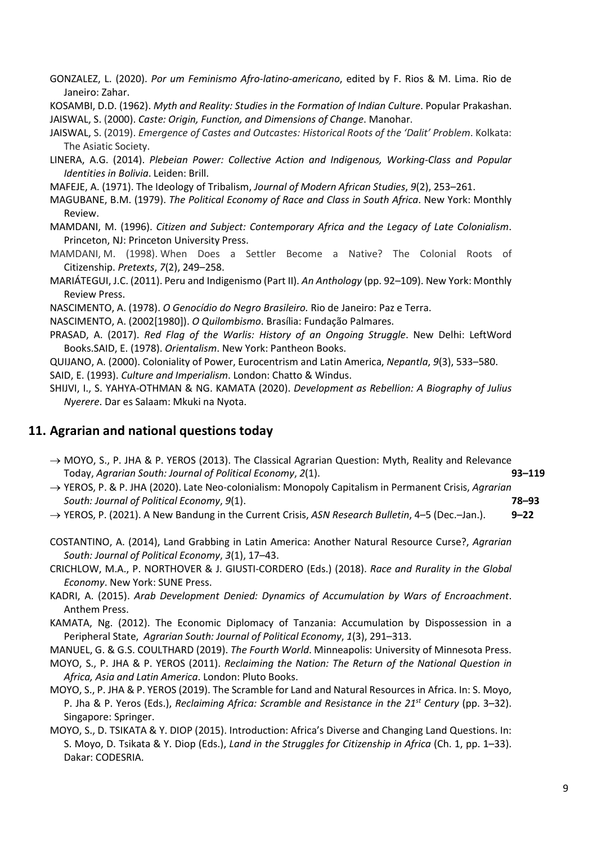GONZALEZ, L. (2020). Por um Feminismo Afro-latino-americano, edited by F. Rios & M. Lima. Rio de Janeiro: Zahar.

KOSAMBI, D.D. (1962). Myth and Reality: Studies in the Formation of Indian Culture. Popular Prakashan. JAISWAL, S. (2000). Caste: Origin, Function, and Dimensions of Change. Manohar.

- JAISWAL, S. (2019). Emergence of Castes and Outcastes: Historical Roots of the 'Dalit' Problem. Kolkata: The Asiatic Society.
- LINERA, A.G. (2014). Plebeian Power: Collective Action and Indigenous, Working-Class and Popular Identities in Bolivia. Leiden: Brill.

MAFEJE, A. (1971). The Ideology of Tribalism, Journal of Modern African Studies, 9(2), 253–261.

MAGUBANE, B.M. (1979). The Political Economy of Race and Class in South Africa. New York: Monthly Review.

- MAMDANI, M. (1996). Citizen and Subject: Contemporary Africa and the Legacy of Late Colonialism. Princeton, NJ: Princeton University Press.
- MAMDANI, M. (1998). When Does a Settler Become a Native? The Colonial Roots of Citizenship. Pretexts, 7(2), 249–258.
- MARIÁTEGUI, J.C. (2011). Peru and Indigenismo (Part II). An Anthology (pp. 92–109). New York: Monthly Review Press.

NASCIMENTO, A. (1978). O Genocídio do Negro Brasileiro. Rio de Janeiro: Paz e Terra.

NASCIMENTO, A. (2002[1980]). O Quilombismo. Brasília: Fundação Palmares.

PRASAD, A. (2017). Red Flag of the Warlis: History of an Ongoing Struggle. New Delhi: LeftWord Books.SAID, E. (1978). Orientalism. New York: Pantheon Books.

QUIJANO, A. (2000). Coloniality of Power, Eurocentrism and Latin America, Nepantla, 9(3), 533–580.

SAID, E. (1993). Culture and Imperialism. London: Chatto & Windus.

SHIJVI, I., S. YAHYA-OTHMAN & NG. KAMATA (2020). Development as Rebellion: A Biography of Julius Nyerere. Dar es Salaam: Mkuki na Nyota.

#### 11. Agrarian and national questions today

- $\rightarrow$  MOYO, S., P. JHA & P. YEROS (2013). The Classical Agrarian Question: Myth, Reality and Relevance Today, Agrarian South: Journal of Political Economy, 2(1). 93-119
- → YEROS, P. & P. JHA (2020). Late Neo-colonialism: Monopoly Capitalism in Permanent Crisis, Agrarian South: Journal of Political Economy, 9(1). The same state of the state of the state of the state of the state of the state of the state of the state of the state of the state of the state of the state of the state of the s
- $\rightarrow$  YEROS, P. (2021). A New Bandung in the Current Crisis, ASN Research Bulletin, 4–5 (Dec.–Jan.). 9–22
- COSTANTINO, A. (2014), Land Grabbing in Latin America: Another Natural Resource Curse?, Agrarian South: Journal of Political Economy, 3(1), 17–43.

CRICHLOW, M.A., P. NORTHOVER & J. GIUSTI-CORDERO (Eds.) (2018). Race and Rurality in the Global Economy. New York: SUNE Press.

- KADRI, A. (2015). Arab Development Denied: Dynamics of Accumulation by Wars of Encroachment. Anthem Press.
- KAMATA, Ng. (2012). The Economic Diplomacy of Tanzania: Accumulation by Dispossession in a Peripheral State, Agrarian South: Journal of Political Economy, 1(3), 291–313.

MANUEL, G. & G.S. COULTHARD (2019). The Fourth World. Minneapolis: University of Minnesota Press.

- MOYO, S., P. JHA & P. YEROS (2011). Reclaiming the Nation: The Return of the National Question in Africa, Asia and Latin America. London: Pluto Books.
- MOYO, S., P. JHA & P. YEROS (2019). The Scramble for Land and Natural Resources in Africa. In: S. Moyo, P. Jha & P. Yeros (Eds.), Reclaiming Africa: Scramble and Resistance in the 21<sup>st</sup> Century (pp. 3–32). Singapore: Springer.
- MOYO, S., D. TSIKATA & Y. DIOP (2015). Introduction: Africa's Diverse and Changing Land Questions. In: S. Moyo, D. Tsikata & Y. Diop (Eds.), Land in the Struggles for Citizenship in Africa (Ch. 1, pp. 1–33). Dakar: CODESRIA.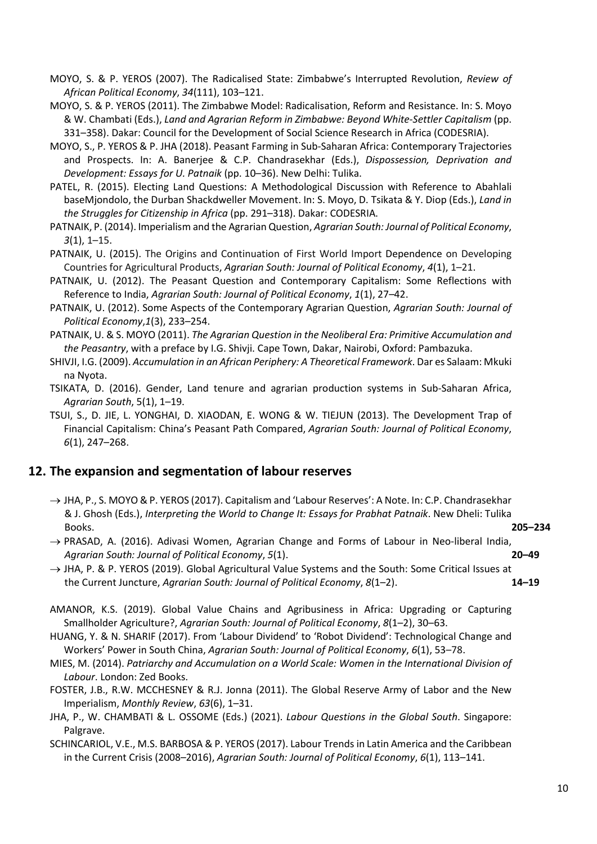- MOYO, S. & P. YEROS (2007). The Radicalised State: Zimbabwe's Interrupted Revolution, Review of African Political Economy, 34(111), 103–121.
- MOYO, S. & P. YEROS (2011). The Zimbabwe Model: Radicalisation, Reform and Resistance. In: S. Moyo & W. Chambati (Eds.), Land and Agrarian Reform in Zimbabwe: Beyond White-Settler Capitalism (pp. 331–358). Dakar: Council for the Development of Social Science Research in Africa (CODESRIA).
- MOYO, S., P. YEROS & P. JHA (2018). Peasant Farming in Sub-Saharan Africa: Contemporary Trajectories and Prospects. In: A. Banerjee & C.P. Chandrasekhar (Eds.), Dispossession, Deprivation and Development: Essays for U. Patnaik (pp. 10–36). New Delhi: Tulika.
- PATEL, R. (2015). Electing Land Questions: A Methodological Discussion with Reference to Abahlali baseMjondolo, the Durban Shackdweller Movement. In: S. Moyo, D. Tsikata & Y. Diop (Eds.), Land in the Struggles for Citizenship in Africa (pp. 291–318). Dakar: CODESRIA.
- PATNAIK, P. (2014). Imperialism and the Agrarian Question, Agrarian South: Journal of Political Economy, 3(1), 1–15.
- PATNAIK, U. (2015). The Origins and Continuation of First World Import Dependence on Developing Countries for Agricultural Products, Agrarian South: Journal of Political Economy, 4(1), 1–21.
- PATNAIK, U. (2012). The Peasant Question and Contemporary Capitalism: Some Reflections with Reference to India, Agrarian South: Journal of Political Economy, 1(1), 27–42.
- PATNAIK, U. (2012). Some Aspects of the Contemporary Agrarian Question, Agrarian South: Journal of Political Economy,1(3), 233–254.

PATNAIK, U. & S. MOYO (2011). The Agrarian Question in the Neoliberal Era: Primitive Accumulation and the Peasantry, with a preface by I.G. Shivji. Cape Town, Dakar, Nairobi, Oxford: Pambazuka.

- SHIVJI, I.G. (2009). Accumulation in an African Periphery: A Theoretical Framework. Dar es Salaam: Mkuki na Nyota.
- TSIKATA, D. (2016). Gender, Land tenure and agrarian production systems in Sub-Saharan Africa, Agrarian South, 5(1), 1–19.
- TSUI, S., D. JIE, L. YONGHAI, D. XIAODAN, E. WONG & W. TIEJUN (2013). The Development Trap of Financial Capitalism: China's Peasant Path Compared, Agrarian South: Journal of Political Economy, 6(1), 247–268.

# 12. The expansion and segmentation of labour reserves

- $\rightarrow$  JHA, P., S. MOYO & P. YEROS (2017). Capitalism and 'Labour Reserves': A Note. In: C.P. Chandrasekhar & J. Ghosh (Eds.), Interpreting the World to Change It: Essays for Prabhat Patnaik. New Dheli: Tulika Books. 205–234
- $\rightarrow$  PRASAD, A. (2016). Adivasi Women, Agrarian Change and Forms of Labour in Neo-liberal India, Agrarian South: Journal of Political Economy, 5(1). 20–49
- $\rightarrow$  JHA, P. & P. YEROS (2019). Global Agricultural Value Systems and the South: Some Critical Issues at the Current Juncture, Agrarian South: Journal of Political Economy, 8(1-2). 14-19
- AMANOR, K.S. (2019). Global Value Chains and Agribusiness in Africa: Upgrading or Capturing Smallholder Agriculture?, Agrarian South: Journal of Political Economy, 8(1–2), 30–63.
- HUANG, Y. & N. SHARIF (2017). From 'Labour Dividend' to 'Robot Dividend': Technological Change and Workers' Power in South China, Agrarian South: Journal of Political Economy, 6(1), 53-78.
- MIES, M. (2014). Patriarchy and Accumulation on a World Scale: Women in the International Division of Labour. London: Zed Books.
- FOSTER, J.B., R.W. MCCHESNEY & R.J. Jonna (2011). The Global Reserve Army of Labor and the New Imperialism, Monthly Review, 63(6), 1–31.
- JHA, P., W. CHAMBATI & L. OSSOME (Eds.) (2021). Labour Questions in the Global South. Singapore: Palgrave.
- SCHINCARIOL, V.E., M.S. BARBOSA & P. YEROS (2017). Labour Trends in Latin America and the Caribbean in the Current Crisis (2008-2016), Agrarian South: Journal of Political Economy, 6(1), 113-141.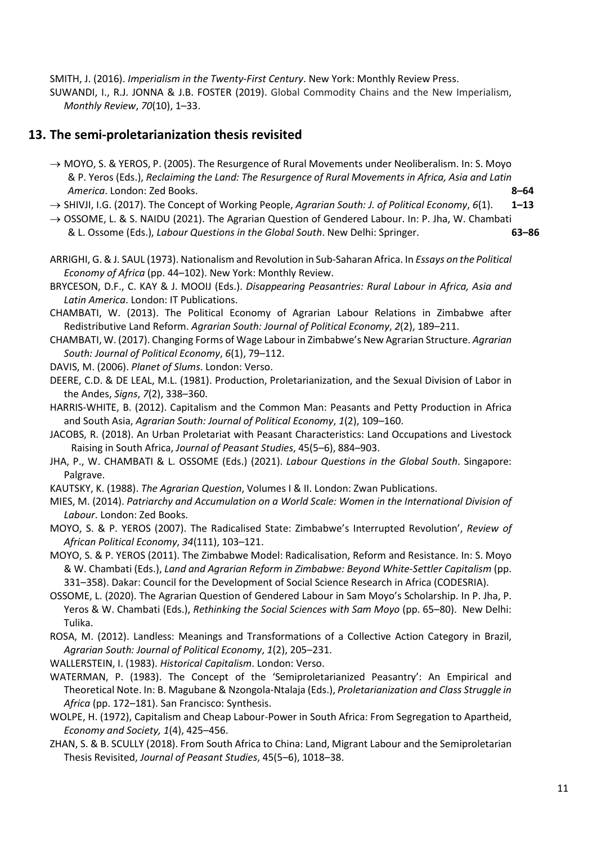SMITH, J. (2016). Imperialism in the Twenty-First Century. New York: Monthly Review Press. SUWANDI, I., R.J. JONNA & J.B. FOSTER (2019). Global Commodity Chains and the New Imperialism, Monthly Review, 70(10), 1–33.

# 13. The semi-proletarianization thesis revisited

- $\rightarrow$  MOYO, S. & YEROS, P. (2005). The Resurgence of Rural Movements under Neoliberalism. In: S. Moyo & P. Yeros (Eds.), Reclaiming the Land: The Resurgence of Rural Movements in Africa, Asia and Latin America. London: Zed Books. 8–64
- $\rightarrow$  SHIVJI, I.G. (2017). The Concept of Working People, *Agrarian South: J. of Political Economy*, 6(1). 1–13
- $\rightarrow$  OSSOME, L. & S. NAIDU (2021). The Agrarian Question of Gendered Labour. In: P. Jha, W. Chambati & L. Ossome (Eds.), Labour Questions in the Global South. New Delhi: Springer. 63-86
- ARRIGHI, G. & J. SAUL (1973). Nationalism and Revolution in Sub-Saharan Africa. In Essays on the Political Economy of Africa (pp. 44–102). New York: Monthly Review.
- BRYCESON, D.F., C. KAY & J. MOOIJ (Eds.). Disappearing Peasantries: Rural Labour in Africa, Asia and Latin America. London: IT Publications.
- CHAMBATI, W. (2013). The Political Economy of Agrarian Labour Relations in Zimbabwe after Redistributive Land Reform. Agrarian South: Journal of Political Economy, 2(2), 189–211.
- CHAMBATI, W. (2017). Changing Forms of Wage Labour in Zimbabwe's New Agrarian Structure. Agrarian South: Journal of Political Economy, 6(1), 79–112.
- DAVIS, M. (2006). Planet of Slums. London: Verso.
- DEERE, C.D. & DE LEAL, M.L. (1981). Production, Proletarianization, and the Sexual Division of Labor in the Andes, Signs, 7(2), 338–360.
- HARRIS-WHITE, B. (2012). Capitalism and the Common Man: Peasants and Petty Production in Africa and South Asia, Agrarian South: Journal of Political Economy, 1(2), 109–160.
- JACOBS, R. (2018). An Urban Proletariat with Peasant Characteristics: Land Occupations and Livestock Raising in South Africa, Journal of Peasant Studies, 45(5–6), 884–903.
- JHA, P., W. CHAMBATI & L. OSSOME (Eds.) (2021). Labour Questions in the Global South. Singapore: Palgrave.

KAUTSKY, K. (1988). The Agrarian Question, Volumes I & II. London: Zwan Publications.

- MIES, M. (2014). Patriarchy and Accumulation on a World Scale: Women in the International Division of Labour. London: Zed Books.
- MOYO, S. & P. YEROS (2007). The Radicalised State: Zimbabwe's Interrupted Revolution', Review of African Political Economy, 34(111), 103–121.
- MOYO, S. & P. YEROS (2011). The Zimbabwe Model: Radicalisation, Reform and Resistance. In: S. Moyo & W. Chambati (Eds.), Land and Agrarian Reform in Zimbabwe: Beyond White-Settler Capitalism (pp. 331–358). Dakar: Council for the Development of Social Science Research in Africa (CODESRIA).
- OSSOME, L. (2020). The Agrarian Question of Gendered Labour in Sam Moyo's Scholarship. In P. Jha, P. Yeros & W. Chambati (Eds.), Rethinking the Social Sciences with Sam Moyo (pp. 65–80). New Delhi: Tulika.
- ROSA, M. (2012). Landless: Meanings and Transformations of a Collective Action Category in Brazil, Agrarian South: Journal of Political Economy, 1(2), 205–231.

WALLERSTEIN, I. (1983). Historical Capitalism. London: Verso.

- WATERMAN, P. (1983). The Concept of the 'Semiproletarianized Peasantry': An Empirical and Theoretical Note. In: B. Magubane & Nzongola-Ntalaja (Eds.), Proletarianization and Class Struggle in Africa (pp. 172–181). San Francisco: Synthesis.
- WOLPE, H. (1972), Capitalism and Cheap Labour-Power in South Africa: From Segregation to Apartheid, Economy and Society, 1(4), 425–456.
- ZHAN, S. & B. SCULLY (2018). From South Africa to China: Land, Migrant Labour and the Semiproletarian Thesis Revisited, Journal of Peasant Studies, 45(5–6), 1018–38.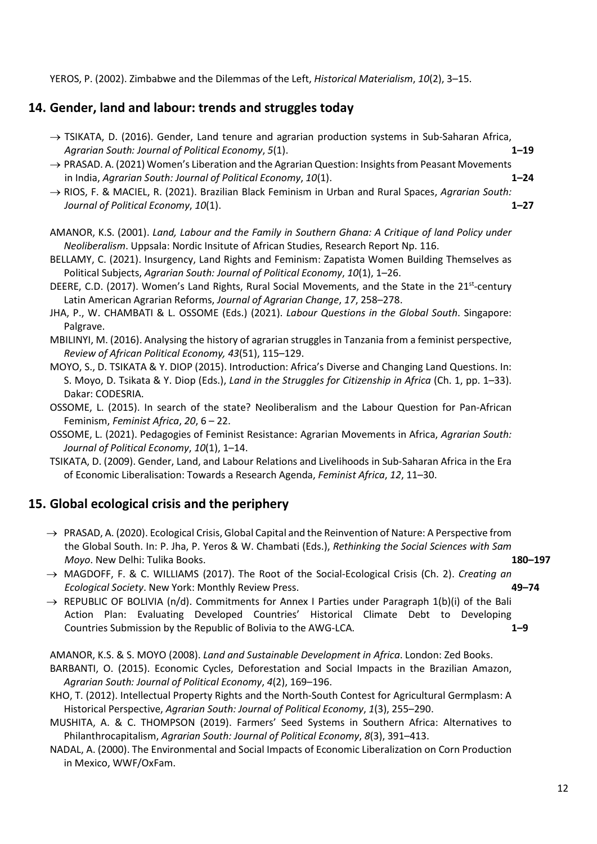YEROS, P. (2002). Zimbabwe and the Dilemmas of the Left, Historical Materialism, 10(2), 3–15.

# 14. Gender, land and labour: trends and struggles today

- $\rightarrow$  TSIKATA, D. (2016). Gender, Land tenure and agrarian production systems in Sub-Saharan Africa, Agrarian South: Journal of Political Economy, 5(1). 1–19
- → PRASAD. A. (2021) Women's Liberation and the Agrarian Question: Insights from Peasant Movements in India, Agrarian South: Journal of Political Economy, 10(1).
- $\rightarrow$  RIOS, F. & MACIEL, R. (2021). Brazilian Black Feminism in Urban and Rural Spaces, Agrarian South: Journal of Political Economy, 10(1). 1–27
- AMANOR, K.S. (2001). Land, Labour and the Family in Southern Ghana: A Critique of land Policy under Neoliberalism. Uppsala: Nordic Insitute of African Studies, Research Report Np. 116.
- BELLAMY, C. (2021). Insurgency, Land Rights and Feminism: Zapatista Women Building Themselves as Political Subjects, Agrarian South: Journal of Political Economy, 10(1), 1–26.
- DEERE, C.D. (2017). Women's Land Rights, Rural Social Movements, and the State in the  $21^{st}$ -century Latin American Agrarian Reforms, Journal of Agrarian Change, 17, 258–278.
- JHA, P., W. CHAMBATI & L. OSSOME (Eds.) (2021). Labour Questions in the Global South. Singapore: Palgrave.
- MBILINYI, M. (2016). Analysing the history of agrarian struggles in Tanzania from a feminist perspective, Review of African Political Economy, 43(51), 115–129.
- MOYO, S., D. TSIKATA & Y. DIOP (2015). Introduction: Africa's Diverse and Changing Land Questions. In: S. Moyo, D. Tsikata & Y. Diop (Eds.), Land in the Struggles for Citizenship in Africa (Ch. 1, pp. 1–33). Dakar: CODESRIA.
- OSSOME, L. (2015). In search of the state? Neoliberalism and the Labour Question for Pan-African Feminism, Feminist Africa, 20, 6 – 22.
- OSSOME, L. (2021). Pedagogies of Feminist Resistance: Agrarian Movements in Africa, Agrarian South: Journal of Political Economy, 10(1), 1–14.
- TSIKATA, D. (2009). Gender, Land, and Labour Relations and Livelihoods in Sub-Saharan Africa in the Era of Economic Liberalisation: Towards a Research Agenda, Feminist Africa, 12, 11–30.

# 15. Global ecological crisis and the periphery

- $\rightarrow$  PRASAD, A. (2020). Ecological Crisis, Global Capital and the Reinvention of Nature: A Perspective from the Global South. In: P. Jha, P. Yeros & W. Chambati (Eds.), Rethinking the Social Sciences with Sam Moyo. New Delhi: Tulika Books. 180–197
- $\rightarrow$  MAGDOFF, F. & C. WILLIAMS (2017). The Root of the Social-Ecological Crisis (Ch. 2). Creating an Ecological Society. New York: Monthly Review Press. 49–74
- $\rightarrow$  REPUBLIC OF BOLIVIA (n/d). Commitments for Annex I Parties under Paragraph 1(b)(i) of the Bali Action Plan: Evaluating Developed Countries' Historical Climate Debt to Developing Countries Submission by the Republic of Bolivia to the AWG-LCA. 1–9

AMANOR, K.S. & S. MOYO (2008). Land and Sustainable Development in Africa. London: Zed Books.

- BARBANTI, O. (2015). Economic Cycles, Deforestation and Social Impacts in the Brazilian Amazon, Agrarian South: Journal of Political Economy, 4(2), 169–196.
- KHO, T. (2012). Intellectual Property Rights and the North-South Contest for Agricultural Germplasm: A Historical Perspective, Agrarian South: Journal of Political Economy, 1(3), 255–290.
- MUSHITA, A. & C. THOMPSON (2019). Farmers' Seed Systems in Southern Africa: Alternatives to Philanthrocapitalism, Agrarian South: Journal of Political Economy, 8(3), 391–413.
- NADAL, A. (2000). The Environmental and Social Impacts of Economic Liberalization on Corn Production in Mexico, WWF/OxFam.